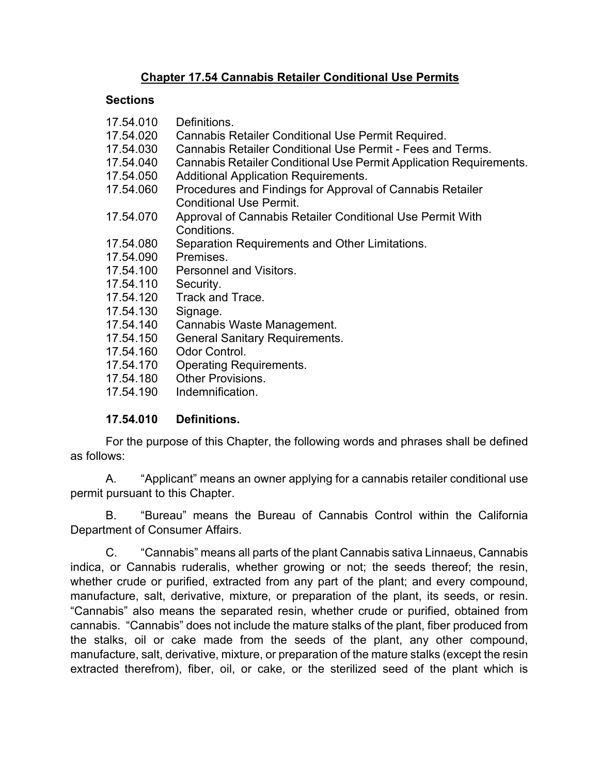### **Chapter 17.54 Cannabis Retailer Conditional Use Permits**

### **Sections**

| 17.54.010 | Definitions.                                                                                |
|-----------|---------------------------------------------------------------------------------------------|
| 17.54.020 | Cannabis Retailer Conditional Use Permit Required.                                          |
| 17.54.030 | Cannabis Retailer Conditional Use Permit - Fees and Terms.                                  |
| 17.54.040 | Cannabis Retailer Conditional Use Permit Application Requirements.                          |
| 17.54.050 | <b>Additional Application Requirements.</b>                                                 |
| 17.54.060 | Procedures and Findings for Approval of Cannabis Retailer<br><b>Conditional Use Permit.</b> |
| 17.54.070 | Approval of Cannabis Retailer Conditional Use Permit With<br>Conditions.                    |
| 17.54.080 | Separation Requirements and Other Limitations.                                              |
| 17.54.090 | Premises.                                                                                   |
| 17.54.100 | <b>Personnel and Visitors.</b>                                                              |
| 17.54.110 | Security.                                                                                   |
| 17.54.120 | Track and Trace.                                                                            |
| 17.54.130 | Signage.                                                                                    |
| 17.54.140 | Cannabis Waste Management.                                                                  |
| 17.54.150 | <b>General Sanitary Requirements.</b>                                                       |
| 17.54.160 | Odor Control.                                                                               |
| 17.54.170 | <b>Operating Requirements.</b>                                                              |
| 17.54.180 | <b>Other Provisions.</b>                                                                    |
| 17.54.190 | Indemnification.                                                                            |
|           |                                                                                             |

### **17.54.010 Definitions.**

 For the purpose of this Chapter, the following words and phrases shall be defined as follows:

A. "Applicant" means an owner applying for a cannabis retailer conditional use permit pursuant to this Chapter.

B. "Bureau" means the Bureau of Cannabis Control within the California Department of Consumer Affairs.

C. "Cannabis" means all parts of the plant Cannabis sativa Linnaeus, Cannabis indica, or Cannabis ruderalis, whether growing or not; the seeds thereof; the resin, whether crude or purified, extracted from any part of the plant; and every compound, manufacture, salt, derivative, mixture, or preparation of the plant, its seeds, or resin. "Cannabis" also means the separated resin, whether crude or purified, obtained from cannabis. "Cannabis" does not include the mature stalks of the plant, fiber produced from the stalks, oil or cake made from the seeds of the plant, any other compound, manufacture, salt, derivative, mixture, or preparation of the mature stalks (except the resin extracted therefrom), fiber, oil, or cake, or the sterilized seed of the plant which is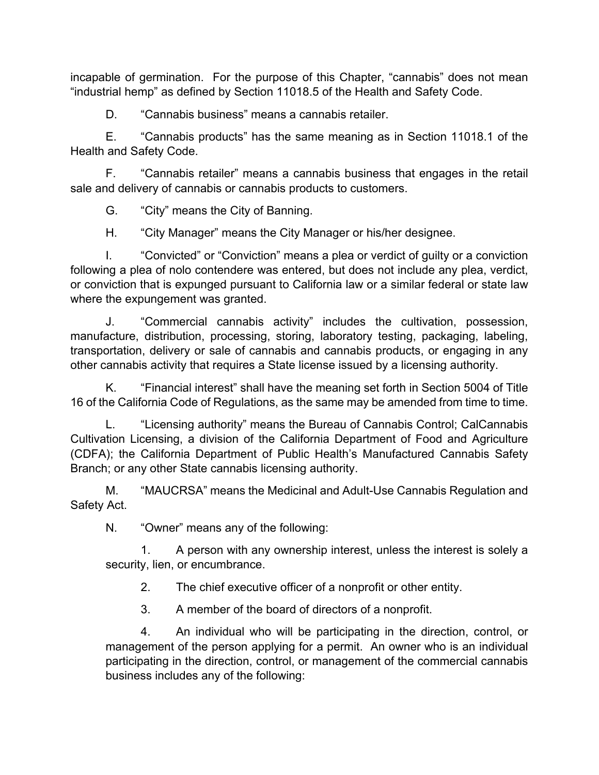incapable of germination. For the purpose of this Chapter, "cannabis" does not mean "industrial hemp" as defined by Section 11018.5 of the Health and Safety Code.

D. "Cannabis business" means a cannabis retailer.

E. "Cannabis products" has the same meaning as in Section 11018.1 of the Health and Safety Code.

F. "Cannabis retailer" means a cannabis business that engages in the retail sale and delivery of cannabis or cannabis products to customers.

G. "City" means the City of Banning.

H. "City Manager" means the City Manager or his/her designee.

I. "Convicted" or "Conviction" means a plea or verdict of guilty or a conviction following a plea of nolo contendere was entered, but does not include any plea, verdict, or conviction that is expunged pursuant to California law or a similar federal or state law where the expungement was granted.

J. "Commercial cannabis activity" includes the cultivation, possession, manufacture, distribution, processing, storing, laboratory testing, packaging, labeling, transportation, delivery or sale of cannabis and cannabis products, or engaging in any other cannabis activity that requires a State license issued by a licensing authority.

K. "Financial interest" shall have the meaning set forth in Section 5004 of Title 16 of the California Code of Regulations, as the same may be amended from time to time.

L. "Licensing authority" means the Bureau of Cannabis Control; CalCannabis Cultivation Licensing, a division of the California Department of Food and Agriculture (CDFA); the California Department of Public Health's Manufactured Cannabis Safety Branch; or any other State cannabis licensing authority.

M. "MAUCRSA" means the Medicinal and Adult-Use Cannabis Regulation and Safety Act.

N. "Owner" means any of the following:

1. A person with any ownership interest, unless the interest is solely a security, lien, or encumbrance.

2. The chief executive officer of a nonprofit or other entity.

3. A member of the board of directors of a nonprofit.

4. An individual who will be participating in the direction, control, or management of the person applying for a permit. An owner who is an individual participating in the direction, control, or management of the commercial cannabis business includes any of the following: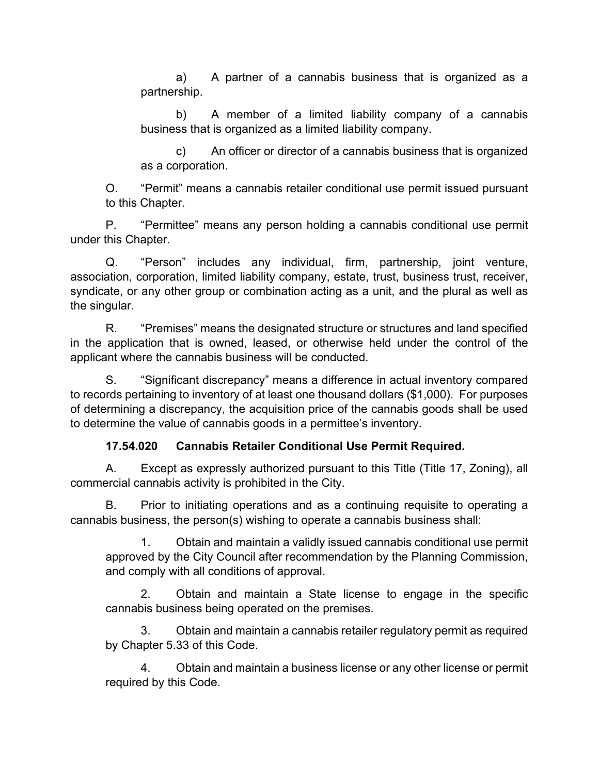a) A partner of a cannabis business that is organized as a partnership.

b) A member of a limited liability company of a cannabis business that is organized as a limited liability company.

c) An officer or director of a cannabis business that is organized as a corporation.

O. "Permit" means a cannabis retailer conditional use permit issued pursuant to this Chapter.

P. "Permittee" means any person holding a cannabis conditional use permit under this Chapter.

Q. "Person" includes any individual, firm, partnership, joint venture, association, corporation, limited liability company, estate, trust, business trust, receiver, syndicate, or any other group or combination acting as a unit, and the plural as well as the singular.

R. "Premises" means the designated structure or structures and land specified in the application that is owned, leased, or otherwise held under the control of the applicant where the cannabis business will be conducted.

S. "Significant discrepancy" means a difference in actual inventory compared to records pertaining to inventory of at least one thousand dollars (\$1,000). For purposes of determining a discrepancy, the acquisition price of the cannabis goods shall be used to determine the value of cannabis goods in a permittee's inventory.

## **17.54.020 Cannabis Retailer Conditional Use Permit Required.**

A. Except as expressly authorized pursuant to this Title (Title 17, Zoning), all commercial cannabis activity is prohibited in the City.

B. Prior to initiating operations and as a continuing requisite to operating a cannabis business, the person(s) wishing to operate a cannabis business shall:

1. Obtain and maintain a validly issued cannabis conditional use permit approved by the City Council after recommendation by the Planning Commission, and comply with all conditions of approval.

2. Obtain and maintain a State license to engage in the specific cannabis business being operated on the premises.

3. Obtain and maintain a cannabis retailer regulatory permit as required by Chapter 5.33 of this Code.

4. Obtain and maintain a business license or any other license or permit required by this Code.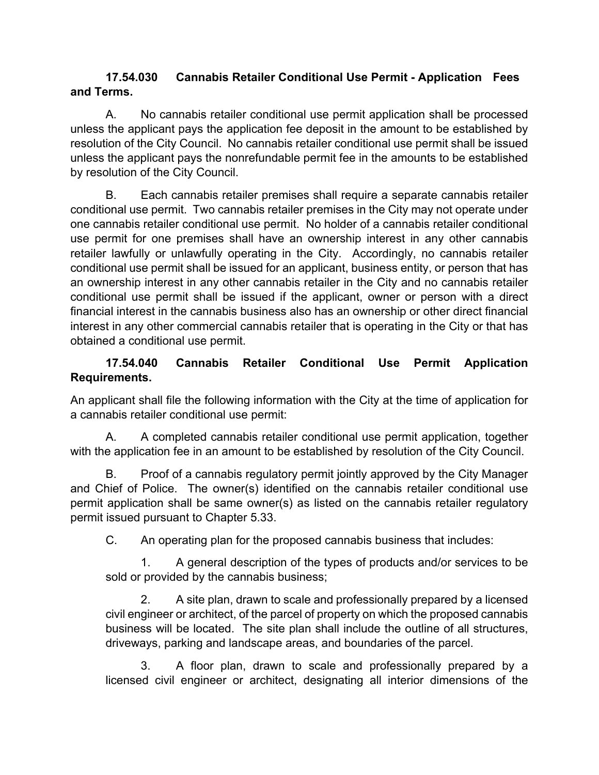### **17.54.030 Cannabis Retailer Conditional Use Permit - Application Fees and Terms.**

A. No cannabis retailer conditional use permit application shall be processed unless the applicant pays the application fee deposit in the amount to be established by resolution of the City Council. No cannabis retailer conditional use permit shall be issued unless the applicant pays the nonrefundable permit fee in the amounts to be established by resolution of the City Council.

B. Each cannabis retailer premises shall require a separate cannabis retailer conditional use permit. Two cannabis retailer premises in the City may not operate under one cannabis retailer conditional use permit. No holder of a cannabis retailer conditional use permit for one premises shall have an ownership interest in any other cannabis retailer lawfully or unlawfully operating in the City. Accordingly, no cannabis retailer conditional use permit shall be issued for an applicant, business entity, or person that has an ownership interest in any other cannabis retailer in the City and no cannabis retailer conditional use permit shall be issued if the applicant, owner or person with a direct financial interest in the cannabis business also has an ownership or other direct financial interest in any other commercial cannabis retailer that is operating in the City or that has obtained a conditional use permit.

## **17.54.040 Cannabis Retailer Conditional Use Permit Application Requirements.**

An applicant shall file the following information with the City at the time of application for a cannabis retailer conditional use permit:

A. A completed cannabis retailer conditional use permit application, together with the application fee in an amount to be established by resolution of the City Council.

B. Proof of a cannabis regulatory permit jointly approved by the City Manager and Chief of Police. The owner(s) identified on the cannabis retailer conditional use permit application shall be same owner(s) as listed on the cannabis retailer regulatory permit issued pursuant to Chapter 5.33.

C. An operating plan for the proposed cannabis business that includes:

1. A general description of the types of products and/or services to be sold or provided by the cannabis business;

2. A site plan, drawn to scale and professionally prepared by a licensed civil engineer or architect, of the parcel of property on which the proposed cannabis business will be located. The site plan shall include the outline of all structures, driveways, parking and landscape areas, and boundaries of the parcel.

3. A floor plan, drawn to scale and professionally prepared by a licensed civil engineer or architect, designating all interior dimensions of the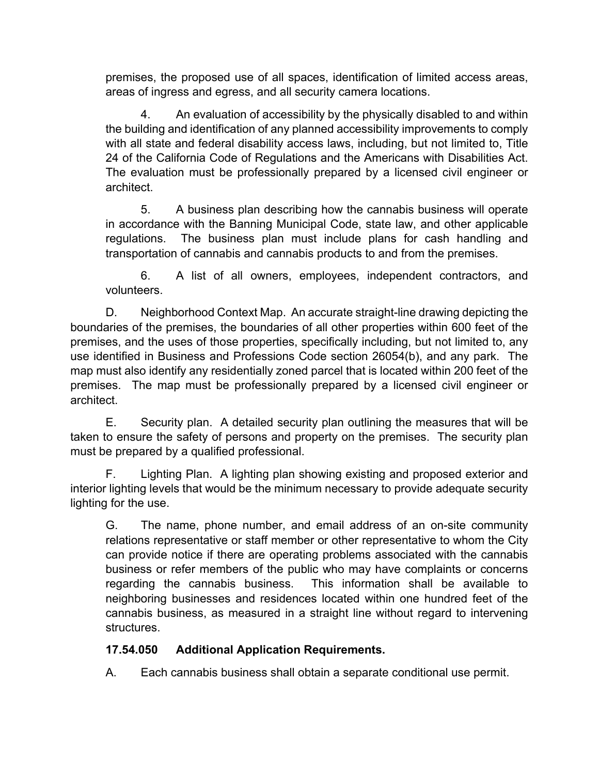premises, the proposed use of all spaces, identification of limited access areas, areas of ingress and egress, and all security camera locations.

4. An evaluation of accessibility by the physically disabled to and within the building and identification of any planned accessibility improvements to comply with all state and federal disability access laws, including, but not limited to, Title 24 of the California Code of Regulations and the Americans with Disabilities Act. The evaluation must be professionally prepared by a licensed civil engineer or architect.

5. A business plan describing how the cannabis business will operate in accordance with the Banning Municipal Code, state law, and other applicable regulations. The business plan must include plans for cash handling and transportation of cannabis and cannabis products to and from the premises.

6. A list of all owners, employees, independent contractors, and volunteers.

D. Neighborhood Context Map. An accurate straight-line drawing depicting the boundaries of the premises, the boundaries of all other properties within 600 feet of the premises, and the uses of those properties, specifically including, but not limited to, any use identified in Business and Professions Code section 26054(b), and any park. The map must also identify any residentially zoned parcel that is located within 200 feet of the premises. The map must be professionally prepared by a licensed civil engineer or architect.

E. Security plan. A detailed security plan outlining the measures that will be taken to ensure the safety of persons and property on the premises. The security plan must be prepared by a qualified professional.

F. Lighting Plan. A lighting plan showing existing and proposed exterior and interior lighting levels that would be the minimum necessary to provide adequate security lighting for the use.

G. The name, phone number, and email address of an on-site community relations representative or staff member or other representative to whom the City can provide notice if there are operating problems associated with the cannabis business or refer members of the public who may have complaints or concerns regarding the cannabis business. This information shall be available to neighboring businesses and residences located within one hundred feet of the cannabis business, as measured in a straight line without regard to intervening structures.

## **17.54.050 Additional Application Requirements.**

A. Each cannabis business shall obtain a separate conditional use permit.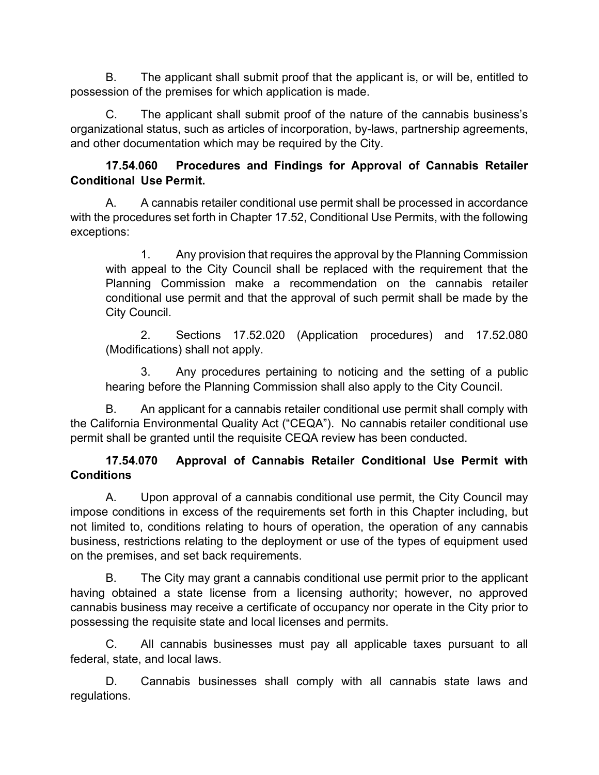B. The applicant shall submit proof that the applicant is, or will be, entitled to possession of the premises for which application is made.

C. The applicant shall submit proof of the nature of the cannabis business's organizational status, such as articles of incorporation, by-laws, partnership agreements, and other documentation which may be required by the City.

### **17.54.060 Procedures and Findings for Approval of Cannabis Retailer Conditional Use Permit.**

A. A cannabis retailer conditional use permit shall be processed in accordance with the procedures set forth in Chapter 17.52, Conditional Use Permits, with the following exceptions:

1. Any provision that requires the approval by the Planning Commission with appeal to the City Council shall be replaced with the requirement that the Planning Commission make a recommendation on the cannabis retailer conditional use permit and that the approval of such permit shall be made by the City Council.

2. Sections 17.52.020 (Application procedures) and 17.52.080 (Modifications) shall not apply.

3. Any procedures pertaining to noticing and the setting of a public hearing before the Planning Commission shall also apply to the City Council.

B. An applicant for a cannabis retailer conditional use permit shall comply with the California Environmental Quality Act ("CEQA"). No cannabis retailer conditional use permit shall be granted until the requisite CEQA review has been conducted.

## **17.54.070 Approval of Cannabis Retailer Conditional Use Permit with Conditions**

A. Upon approval of a cannabis conditional use permit, the City Council may impose conditions in excess of the requirements set forth in this Chapter including, but not limited to, conditions relating to hours of operation, the operation of any cannabis business, restrictions relating to the deployment or use of the types of equipment used on the premises, and set back requirements.

B. The City may grant a cannabis conditional use permit prior to the applicant having obtained a state license from a licensing authority; however, no approved cannabis business may receive a certificate of occupancy nor operate in the City prior to possessing the requisite state and local licenses and permits.

C. All cannabis businesses must pay all applicable taxes pursuant to all federal, state, and local laws.

D. Cannabis businesses shall comply with all cannabis state laws and regulations.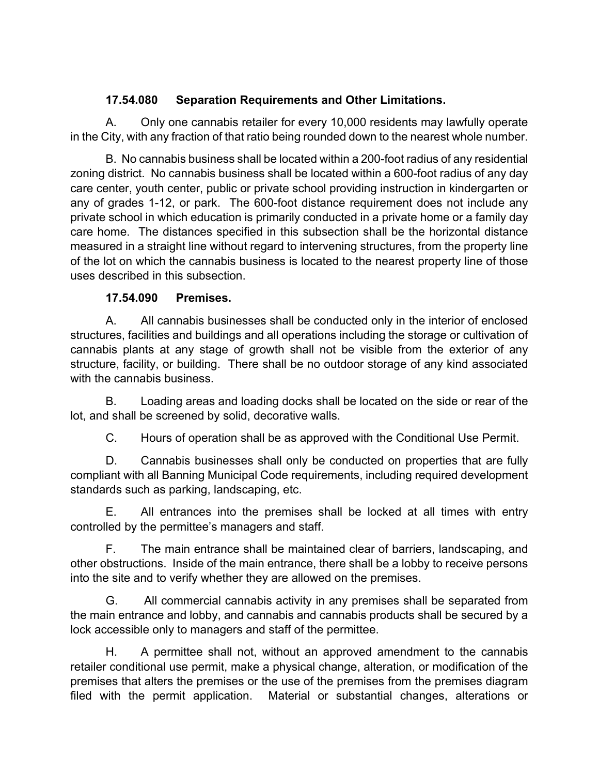### **17.54.080 Separation Requirements and Other Limitations.**

 A. Only one cannabis retailer for every 10,000 residents may lawfully operate in the City, with any fraction of that ratio being rounded down to the nearest whole number.

 B. No cannabis business shall be located within a 200-foot radius of any residential zoning district. No cannabis business shall be located within a 600-foot radius of any day care center, youth center, public or private school providing instruction in kindergarten or any of grades 1-12, or park. The 600-foot distance requirement does not include any private school in which education is primarily conducted in a private home or a family day care home. The distances specified in this subsection shall be the horizontal distance measured in a straight line without regard to intervening structures, from the property line of the lot on which the cannabis business is located to the nearest property line of those uses described in this subsection.

## **17.54.090 Premises.**

A. All cannabis businesses shall be conducted only in the interior of enclosed structures, facilities and buildings and all operations including the storage or cultivation of cannabis plants at any stage of growth shall not be visible from the exterior of any structure, facility, or building. There shall be no outdoor storage of any kind associated with the cannabis business.

B. Loading areas and loading docks shall be located on the side or rear of the lot, and shall be screened by solid, decorative walls.

C. Hours of operation shall be as approved with the Conditional Use Permit.

D. Cannabis businesses shall only be conducted on properties that are fully compliant with all Banning Municipal Code requirements, including required development standards such as parking, landscaping, etc.

E. All entrances into the premises shall be locked at all times with entry controlled by the permittee's managers and staff.

F. The main entrance shall be maintained clear of barriers, landscaping, and other obstructions. Inside of the main entrance, there shall be a lobby to receive persons into the site and to verify whether they are allowed on the premises.

G. All commercial cannabis activity in any premises shall be separated from the main entrance and lobby, and cannabis and cannabis products shall be secured by a lock accessible only to managers and staff of the permittee.

H. A permittee shall not, without an approved amendment to the cannabis retailer conditional use permit, make a physical change, alteration, or modification of the premises that alters the premises or the use of the premises from the premises diagram filed with the permit application. Material or substantial changes, alterations or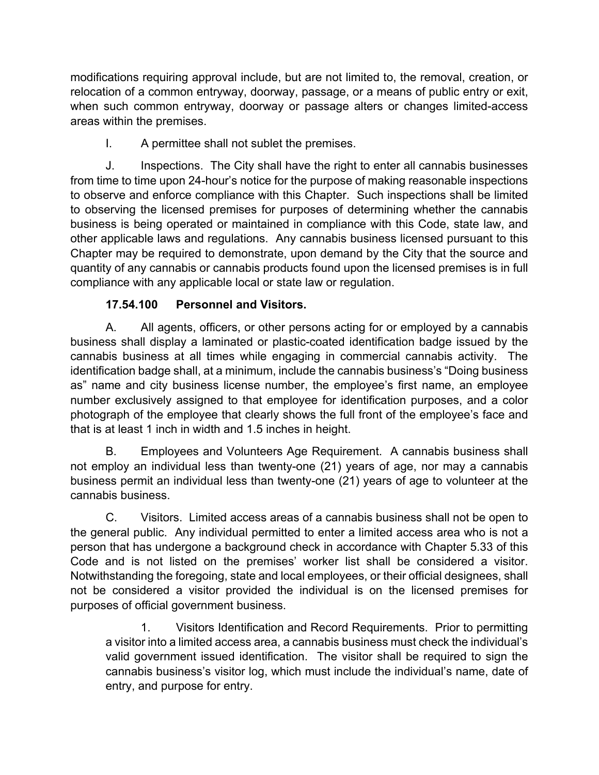modifications requiring approval include, but are not limited to, the removal, creation, or relocation of a common entryway, doorway, passage, or a means of public entry or exit, when such common entryway, doorway or passage alters or changes limited-access areas within the premises.

I. A permittee shall not sublet the premises.

J. Inspections. The City shall have the right to enter all cannabis businesses from time to time upon 24-hour's notice for the purpose of making reasonable inspections to observe and enforce compliance with this Chapter. Such inspections shall be limited to observing the licensed premises for purposes of determining whether the cannabis business is being operated or maintained in compliance with this Code, state law, and other applicable laws and regulations. Any cannabis business licensed pursuant to this Chapter may be required to demonstrate, upon demand by the City that the source and quantity of any cannabis or cannabis products found upon the licensed premises is in full compliance with any applicable local or state law or regulation.

## **17.54.100 Personnel and Visitors.**

A. All agents, officers, or other persons acting for or employed by a cannabis business shall display a laminated or plastic-coated identification badge issued by the cannabis business at all times while engaging in commercial cannabis activity. The identification badge shall, at a minimum, include the cannabis business's "Doing business as" name and city business license number, the employee's first name, an employee number exclusively assigned to that employee for identification purposes, and a color photograph of the employee that clearly shows the full front of the employee's face and that is at least 1 inch in width and 1.5 inches in height.

B. Employees and Volunteers Age Requirement. A cannabis business shall not employ an individual less than twenty-one (21) years of age, nor may a cannabis business permit an individual less than twenty-one (21) years of age to volunteer at the cannabis business.

C. Visitors. Limited access areas of a cannabis business shall not be open to the general public. Any individual permitted to enter a limited access area who is not a person that has undergone a background check in accordance with Chapter 5.33 of this Code and is not listed on the premises' worker list shall be considered a visitor. Notwithstanding the foregoing, state and local employees, or their official designees, shall not be considered a visitor provided the individual is on the licensed premises for purposes of official government business.

1. Visitors Identification and Record Requirements. Prior to permitting a visitor into a limited access area, a cannabis business must check the individual's valid government issued identification. The visitor shall be required to sign the cannabis business's visitor log, which must include the individual's name, date of entry, and purpose for entry.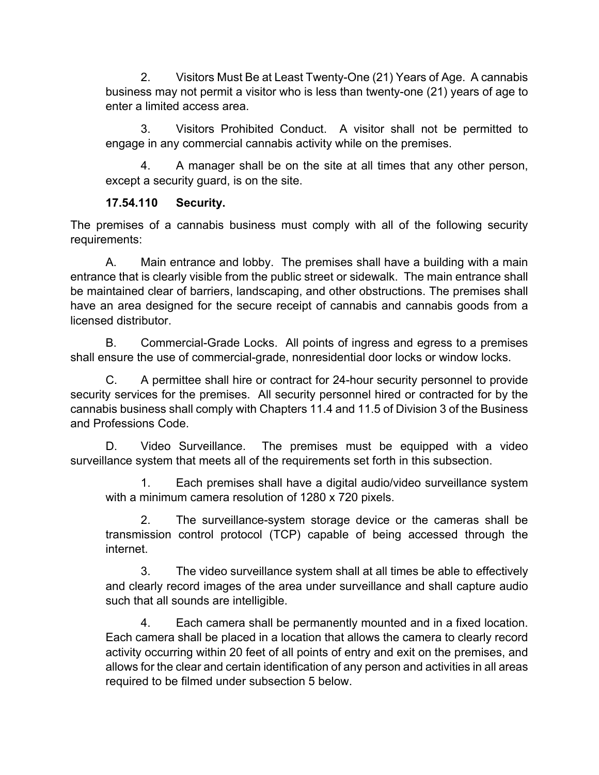2. Visitors Must Be at Least Twenty-One (21) Years of Age. A cannabis business may not permit a visitor who is less than twenty-one (21) years of age to enter a limited access area.

3. Visitors Prohibited Conduct. A visitor shall not be permitted to engage in any commercial cannabis activity while on the premises.

4. A manager shall be on the site at all times that any other person, except a security guard, is on the site.

### **17.54.110 Security.**

The premises of a cannabis business must comply with all of the following security requirements:

A. Main entrance and lobby. The premises shall have a building with a main entrance that is clearly visible from the public street or sidewalk. The main entrance shall be maintained clear of barriers, landscaping, and other obstructions. The premises shall have an area designed for the secure receipt of cannabis and cannabis goods from a licensed distributor.

B. Commercial-Grade Locks. All points of ingress and egress to a premises shall ensure the use of commercial-grade, nonresidential door locks or window locks.

C. A permittee shall hire or contract for 24-hour security personnel to provide security services for the premises. All security personnel hired or contracted for by the cannabis business shall comply with Chapters 11.4 and 11.5 of Division 3 of the Business and Professions Code.

D. Video Surveillance. The premises must be equipped with a video surveillance system that meets all of the requirements set forth in this subsection.

1. Each premises shall have a digital audio/video surveillance system with a minimum camera resolution of 1280 x 720 pixels.

2. The surveillance-system storage device or the cameras shall be transmission control protocol (TCP) capable of being accessed through the internet.

3. The video surveillance system shall at all times be able to effectively and clearly record images of the area under surveillance and shall capture audio such that all sounds are intelligible.

4. Each camera shall be permanently mounted and in a fixed location. Each camera shall be placed in a location that allows the camera to clearly record activity occurring within 20 feet of all points of entry and exit on the premises, and allows for the clear and certain identification of any person and activities in all areas required to be filmed under subsection 5 below.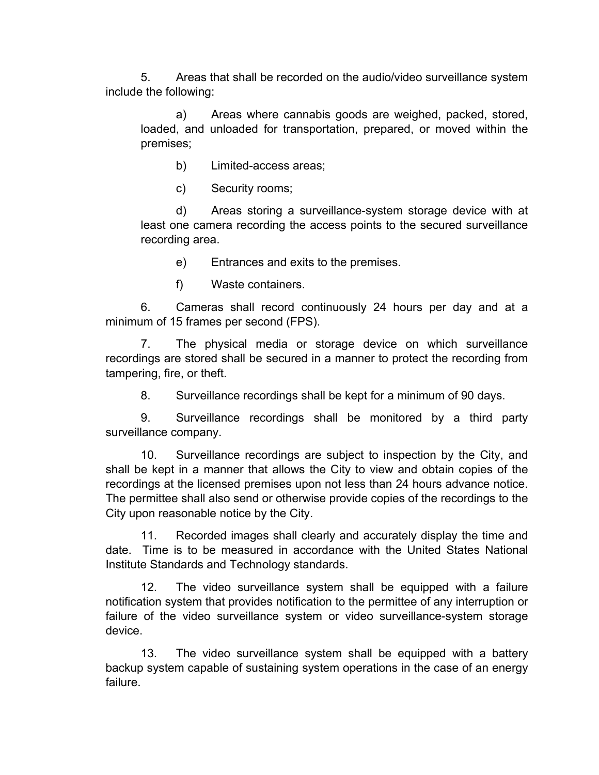5. Areas that shall be recorded on the audio/video surveillance system include the following:

a) Areas where cannabis goods are weighed, packed, stored, loaded, and unloaded for transportation, prepared, or moved within the premises;

- b) Limited-access areas;
- c) Security rooms;

d) Areas storing a surveillance-system storage device with at least one camera recording the access points to the secured surveillance recording area.

e) Entrances and exits to the premises.

f) Waste containers.

6. Cameras shall record continuously 24 hours per day and at a minimum of 15 frames per second (FPS).

7. The physical media or storage device on which surveillance recordings are stored shall be secured in a manner to protect the recording from tampering, fire, or theft.

8. Surveillance recordings shall be kept for a minimum of 90 days.

9. Surveillance recordings shall be monitored by a third party surveillance company.

10. Surveillance recordings are subject to inspection by the City, and shall be kept in a manner that allows the City to view and obtain copies of the recordings at the licensed premises upon not less than 24 hours advance notice. The permittee shall also send or otherwise provide copies of the recordings to the City upon reasonable notice by the City.

11. Recorded images shall clearly and accurately display the time and date. Time is to be measured in accordance with the United States National Institute Standards and Technology standards.

12. The video surveillance system shall be equipped with a failure notification system that provides notification to the permittee of any interruption or failure of the video surveillance system or video surveillance-system storage device.

13. The video surveillance system shall be equipped with a battery backup system capable of sustaining system operations in the case of an energy failure.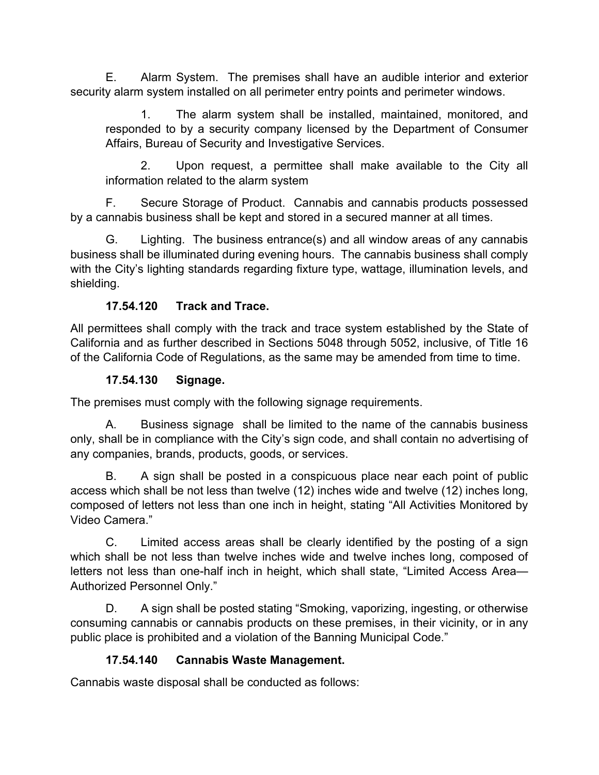E. Alarm System. The premises shall have an audible interior and exterior security alarm system installed on all perimeter entry points and perimeter windows.

1. The alarm system shall be installed, maintained, monitored, and responded to by a security company licensed by the Department of Consumer Affairs, Bureau of Security and Investigative Services.

2. Upon request, a permittee shall make available to the City all information related to the alarm system

F. Secure Storage of Product. Cannabis and cannabis products possessed by a cannabis business shall be kept and stored in a secured manner at all times.

G. Lighting. The business entrance(s) and all window areas of any cannabis business shall be illuminated during evening hours. The cannabis business shall comply with the City's lighting standards regarding fixture type, wattage, illumination levels, and shielding.

## **17.54.120 Track and Trace.**

All permittees shall comply with the track and trace system established by the State of California and as further described in Sections 5048 through 5052, inclusive, of Title 16 of the California Code of Regulations, as the same may be amended from time to time.

### **17.54.130 Signage.**

The premises must comply with the following signage requirements.

A. Business signage shall be limited to the name of the cannabis business only, shall be in compliance with the City's sign code, and shall contain no advertising of any companies, brands, products, goods, or services.

B. A sign shall be posted in a conspicuous place near each point of public access which shall be not less than twelve (12) inches wide and twelve (12) inches long, composed of letters not less than one inch in height, stating "All Activities Monitored by Video Camera."

C. Limited access areas shall be clearly identified by the posting of a sign which shall be not less than twelve inches wide and twelve inches long, composed of letters not less than one-half inch in height, which shall state, "Limited Access Area— Authorized Personnel Only."

D. A sign shall be posted stating "Smoking, vaporizing, ingesting, or otherwise consuming cannabis or cannabis products on these premises, in their vicinity, or in any public place is prohibited and a violation of the Banning Municipal Code."

## **17.54.140 Cannabis Waste Management.**

Cannabis waste disposal shall be conducted as follows: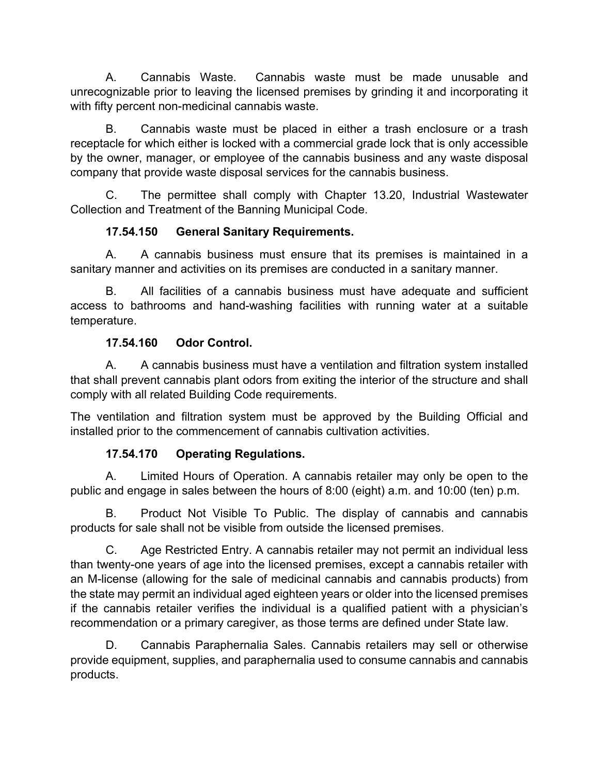A. Cannabis Waste. Cannabis waste must be made unusable and unrecognizable prior to leaving the licensed premises by grinding it and incorporating it with fifty percent non-medicinal cannabis waste.

B. Cannabis waste must be placed in either a trash enclosure or a trash receptacle for which either is locked with a commercial grade lock that is only accessible by the owner, manager, or employee of the cannabis business and any waste disposal company that provide waste disposal services for the cannabis business.

C. The permittee shall comply with Chapter 13.20, Industrial Wastewater Collection and Treatment of the Banning Municipal Code.

## **17.54.150 General Sanitary Requirements.**

A. A cannabis business must ensure that its premises is maintained in a sanitary manner and activities on its premises are conducted in a sanitary manner.

B. All facilities of a cannabis business must have adequate and sufficient access to bathrooms and hand-washing facilities with running water at a suitable temperature.

### **17.54.160 Odor Control.**

A. A cannabis business must have a ventilation and filtration system installed that shall prevent cannabis plant odors from exiting the interior of the structure and shall comply with all related Building Code requirements.

The ventilation and filtration system must be approved by the Building Official and installed prior to the commencement of cannabis cultivation activities.

## **17.54.170 Operating Regulations.**

A. Limited Hours of Operation. A cannabis retailer may only be open to the public and engage in sales between the hours of 8:00 (eight) a.m. and 10:00 (ten) p.m.

B. Product Not Visible To Public. The display of cannabis and cannabis products for sale shall not be visible from outside the licensed premises.

C. Age Restricted Entry. A cannabis retailer may not permit an individual less than twenty-one years of age into the licensed premises, except a cannabis retailer with an M-license (allowing for the sale of medicinal cannabis and cannabis products) from the state may permit an individual aged eighteen years or older into the licensed premises if the cannabis retailer verifies the individual is a qualified patient with a physician's recommendation or a primary caregiver, as those terms are defined under State law.

D. Cannabis Paraphernalia Sales. Cannabis retailers may sell or otherwise provide equipment, supplies, and paraphernalia used to consume cannabis and cannabis products.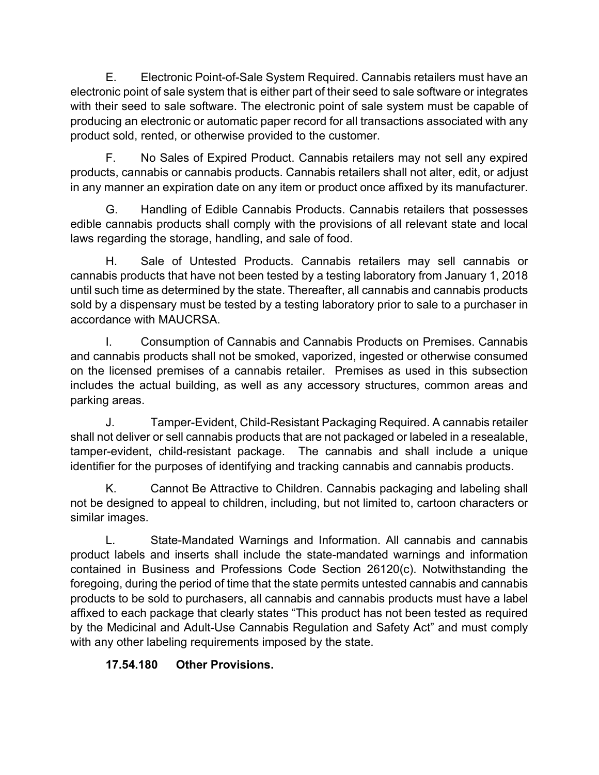E. Electronic Point-of-Sale System Required. Cannabis retailers must have an electronic point of sale system that is either part of their seed to sale software or integrates with their seed to sale software. The electronic point of sale system must be capable of producing an electronic or automatic paper record for all transactions associated with any product sold, rented, or otherwise provided to the customer.

F. No Sales of Expired Product. Cannabis retailers may not sell any expired products, cannabis or cannabis products. Cannabis retailers shall not alter, edit, or adjust in any manner an expiration date on any item or product once affixed by its manufacturer.

G. Handling of Edible Cannabis Products. Cannabis retailers that possesses edible cannabis products shall comply with the provisions of all relevant state and local laws regarding the storage, handling, and sale of food.

H. Sale of Untested Products. Cannabis retailers may sell cannabis or cannabis products that have not been tested by a testing laboratory from January 1, 2018 until such time as determined by the state. Thereafter, all cannabis and cannabis products sold by a dispensary must be tested by a testing laboratory prior to sale to a purchaser in accordance with MAUCRSA.

I. Consumption of Cannabis and Cannabis Products on Premises. Cannabis and cannabis products shall not be smoked, vaporized, ingested or otherwise consumed on the licensed premises of a cannabis retailer. Premises as used in this subsection includes the actual building, as well as any accessory structures, common areas and parking areas.

J. Tamper-Evident, Child-Resistant Packaging Required. A cannabis retailer shall not deliver or sell cannabis products that are not packaged or labeled in a resealable, tamper-evident, child-resistant package. The cannabis and shall include a unique identifier for the purposes of identifying and tracking cannabis and cannabis products.

K. Cannot Be Attractive to Children. Cannabis packaging and labeling shall not be designed to appeal to children, including, but not limited to, cartoon characters or similar images.

L. State-Mandated Warnings and Information. All cannabis and cannabis product labels and inserts shall include the state-mandated warnings and information contained in Business and Professions Code Section 26120(c). Notwithstanding the foregoing, during the period of time that the state permits untested cannabis and cannabis products to be sold to purchasers, all cannabis and cannabis products must have a label affixed to each package that clearly states "This product has not been tested as required by the Medicinal and Adult-Use Cannabis Regulation and Safety Act" and must comply with any other labeling requirements imposed by the state.

# **17.54.180 Other Provisions.**